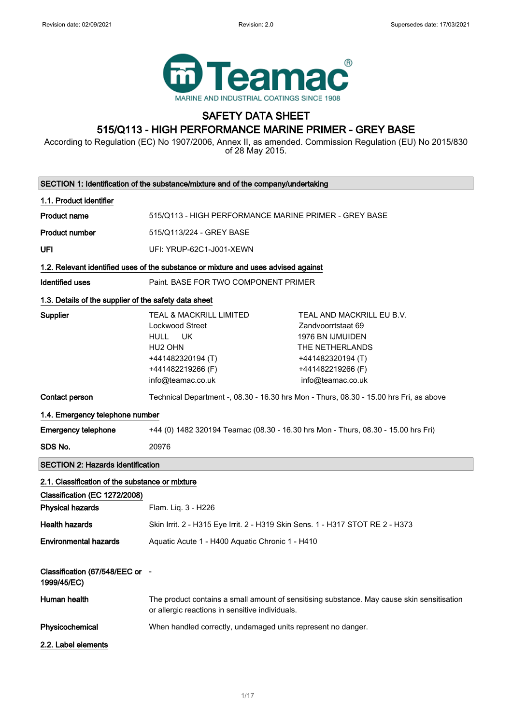

## SAFETY DATA SHEET 515/Q113 - HIGH PERFORMANCE MARINE PRIMER - GREY BASE

According to Regulation (EC) No 1907/2006, Annex II, as amended. Commission Regulation (EU) No 2015/830 of 28 May 2015.

|                                                                                  | SECTION 1: Identification of the substance/mixture and of the company/undertaking                                                           |                                                                                                                                                              |
|----------------------------------------------------------------------------------|---------------------------------------------------------------------------------------------------------------------------------------------|--------------------------------------------------------------------------------------------------------------------------------------------------------------|
| 1.1. Product identifier                                                          |                                                                                                                                             |                                                                                                                                                              |
| <b>Product name</b>                                                              | 515/Q113 - HIGH PERFORMANCE MARINE PRIMER - GREY BASE                                                                                       |                                                                                                                                                              |
| <b>Product number</b>                                                            | 515/Q113/224 - GREY BASE                                                                                                                    |                                                                                                                                                              |
| UFI                                                                              | UFI: YRUP-62C1-J001-XEWN                                                                                                                    |                                                                                                                                                              |
|                                                                                  | 1.2. Relevant identified uses of the substance or mixture and uses advised against                                                          |                                                                                                                                                              |
| <b>Identified uses</b>                                                           | Paint, BASE FOR TWO COMPONENT PRIMER                                                                                                        |                                                                                                                                                              |
| 1.3. Details of the supplier of the safety data sheet                            |                                                                                                                                             |                                                                                                                                                              |
| <b>Supplier</b>                                                                  | TEAL & MACKRILL LIMITED<br>Lockwood Street<br>HULL UK<br>HU <sub>2</sub> OHN<br>+441482320194 (T)<br>+441482219266 (F)<br>info@teamac.co.uk | TEAL AND MACKRILL EU B.V.<br>Zandvoorrtstaat 69<br><b>1976 BN IJMUIDEN</b><br>THE NETHERLANDS<br>+441482320194 (T)<br>+441482219266 (F)<br>info@teamac.co.uk |
| Contact person                                                                   |                                                                                                                                             | Technical Department -, 08.30 - 16.30 hrs Mon - Thurs, 08.30 - 15.00 hrs Fri, as above                                                                       |
| 1.4. Emergency telephone number                                                  |                                                                                                                                             |                                                                                                                                                              |
| <b>Emergency telephone</b>                                                       | +44 (0) 1482 320194 Teamac (08.30 - 16.30 hrs Mon - Thurs, 08.30 - 15.00 hrs Fri)                                                           |                                                                                                                                                              |
| SDS No.                                                                          | 20976                                                                                                                                       |                                                                                                                                                              |
| <b>SECTION 2: Hazards identification</b>                                         |                                                                                                                                             |                                                                                                                                                              |
| 2.1. Classification of the substance or mixture<br>Classification (EC 1272/2008) |                                                                                                                                             |                                                                                                                                                              |
| <b>Physical hazards</b>                                                          | Flam. Liq. 3 - H226                                                                                                                         |                                                                                                                                                              |
| <b>Health hazards</b>                                                            | Skin Irrit. 2 - H315 Eye Irrit. 2 - H319 Skin Sens. 1 - H317 STOT RE 2 - H373                                                               |                                                                                                                                                              |
| <b>Environmental hazards</b>                                                     | Aquatic Acute 1 - H400 Aquatic Chronic 1 - H410                                                                                             |                                                                                                                                                              |
| Classification (67/548/EEC or -<br>1999/45/EC)                                   |                                                                                                                                             |                                                                                                                                                              |
| Human health                                                                     | or allergic reactions in sensitive individuals.                                                                                             | The product contains a small amount of sensitising substance. May cause skin sensitisation                                                                   |
| Physicochemical                                                                  | When handled correctly, undamaged units represent no danger.                                                                                |                                                                                                                                                              |
| 2.2. Label elements                                                              |                                                                                                                                             |                                                                                                                                                              |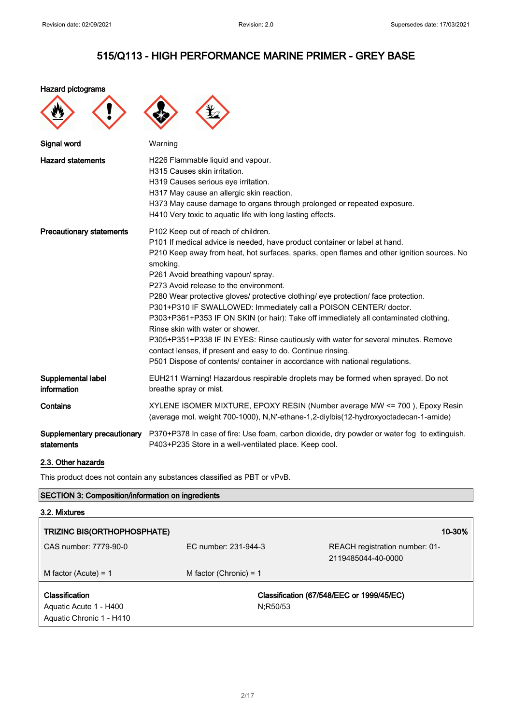#### Hazard pictograms





| Signal word                               | Warning                                                                                                                                                                                                                                                                                                                                                                                                                                                                                                                                                                                                                                                                                                                                                                                                                                   |
|-------------------------------------------|-------------------------------------------------------------------------------------------------------------------------------------------------------------------------------------------------------------------------------------------------------------------------------------------------------------------------------------------------------------------------------------------------------------------------------------------------------------------------------------------------------------------------------------------------------------------------------------------------------------------------------------------------------------------------------------------------------------------------------------------------------------------------------------------------------------------------------------------|
| <b>Hazard statements</b>                  | H226 Flammable liquid and vapour.<br>H315 Causes skin irritation.<br>H319 Causes serious eye irritation.<br>H317 May cause an allergic skin reaction.<br>H373 May cause damage to organs through prolonged or repeated exposure.<br>H410 Very toxic to aquatic life with long lasting effects.                                                                                                                                                                                                                                                                                                                                                                                                                                                                                                                                            |
| <b>Precautionary statements</b>           | P102 Keep out of reach of children.<br>P101 If medical advice is needed, have product container or label at hand.<br>P210 Keep away from heat, hot surfaces, sparks, open flames and other ignition sources. No<br>smoking.<br>P261 Avoid breathing vapour/ spray.<br>P273 Avoid release to the environment.<br>P280 Wear protective gloves/ protective clothing/ eye protection/ face protection.<br>P301+P310 IF SWALLOWED: Immediately call a POISON CENTER/ doctor.<br>P303+P361+P353 IF ON SKIN (or hair): Take off immediately all contaminated clothing.<br>Rinse skin with water or shower.<br>P305+P351+P338 IF IN EYES: Rinse cautiously with water for several minutes. Remove<br>contact lenses, if present and easy to do. Continue rinsing.<br>P501 Dispose of contents/ container in accordance with national regulations. |
| Supplemental label<br>information         | EUH211 Warning! Hazardous respirable droplets may be formed when sprayed. Do not<br>breathe spray or mist.                                                                                                                                                                                                                                                                                                                                                                                                                                                                                                                                                                                                                                                                                                                                |
| Contains                                  | XYLENE ISOMER MIXTURE, EPOXY RESIN (Number average MW <= 700), Epoxy Resin<br>(average mol. weight 700-1000), N,N'-ethane-1,2-diylbis(12-hydroxyoctadecan-1-amide)                                                                                                                                                                                                                                                                                                                                                                                                                                                                                                                                                                                                                                                                        |
| Supplementary precautionary<br>statements | P370+P378 In case of fire: Use foam, carbon dioxide, dry powder or water fog to extinguish.<br>P403+P235 Store in a well-ventilated place. Keep cool.                                                                                                                                                                                                                                                                                                                                                                                                                                                                                                                                                                                                                                                                                     |

### 2.3. Other hazards

This product does not contain any substances classified as PBT or vPvB.

### SECTION 3: Composition/information on ingredients

| 3.2. Mixtures                      |                          |                                           |
|------------------------------------|--------------------------|-------------------------------------------|
| <b>TRIZINC BIS(ORTHOPHOSPHATE)</b> |                          | 10-30%                                    |
| CAS number: 7779-90-0              | FC number: 231-944-3     | REACH registration number: 01-            |
|                                    |                          | 2119485044-40-0000                        |
| M factor (Acute) = $1$             | M factor (Chronic) = $1$ |                                           |
| <b>Classification</b>              |                          | Classification (67/548/EEC or 1999/45/EC) |
| Aquatic Acute 1 - H400             | N:R50/53                 |                                           |
| Aquatic Chronic 1 - H410           |                          |                                           |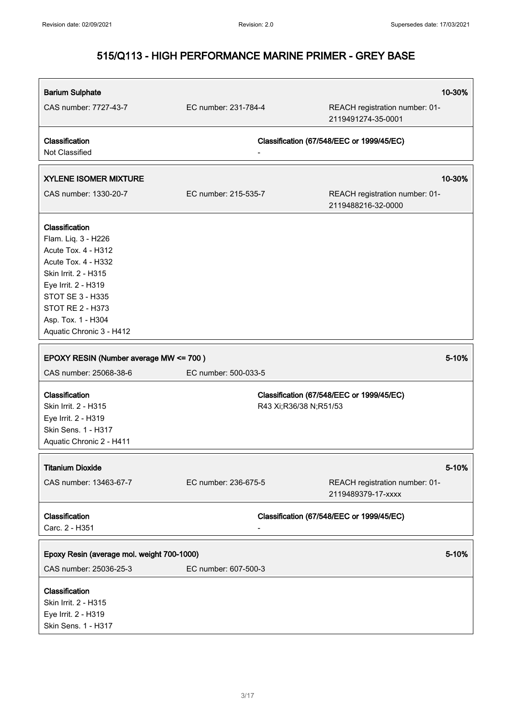| <b>Barium Sulphate</b>                     |                        | 10-30%                                               |
|--------------------------------------------|------------------------|------------------------------------------------------|
| CAS number: 7727-43-7                      | EC number: 231-784-4   | REACH registration number: 01-<br>2119491274-35-0001 |
| Classification<br>Not Classified           |                        | Classification (67/548/EEC or 1999/45/EC)            |
| <b>XYLENE ISOMER MIXTURE</b>               |                        | 10-30%                                               |
| CAS number: 1330-20-7                      | EC number: 215-535-7   | REACH registration number: 01-<br>2119488216-32-0000 |
| Classification                             |                        |                                                      |
| Flam. Liq. 3 - H226                        |                        |                                                      |
| Acute Tox. 4 - H312                        |                        |                                                      |
| Acute Tox. 4 - H332                        |                        |                                                      |
| Skin Irrit. 2 - H315                       |                        |                                                      |
| Eye Irrit. 2 - H319                        |                        |                                                      |
| <b>STOT SE 3 - H335</b>                    |                        |                                                      |
| <b>STOT RE 2 - H373</b>                    |                        |                                                      |
| Asp. Tox. 1 - H304                         |                        |                                                      |
| Aquatic Chronic 3 - H412                   |                        |                                                      |
| EPOXY RESIN (Number average MW <= 700)     |                        | 5-10%                                                |
| CAS number: 25068-38-6                     | EC number: 500-033-5   |                                                      |
| Classification                             |                        | Classification (67/548/EEC or 1999/45/EC)            |
| Skin Irrit. 2 - H315                       | R43 Xi;R36/38 N;R51/53 |                                                      |
| Eye Irrit. 2 - H319                        |                        |                                                      |
| Skin Sens. 1 - H317                        |                        |                                                      |
| Aquatic Chronic 2 - H411                   |                        |                                                      |
| <b>Titanium Dioxide</b>                    |                        | 5-10%                                                |
|                                            |                        |                                                      |
| CAS number: 13463-67-7                     | EC number: 236-675-5   | REACH registration number: 01-<br>2119489379-17-xxxx |
| Classification                             |                        | Classification (67/548/EEC or 1999/45/EC)            |
| Carc. 2 - H351                             |                        |                                                      |
|                                            |                        |                                                      |
| Epoxy Resin (average mol. weight 700-1000) |                        | 5-10%                                                |
| CAS number: 25036-25-3                     | EC number: 607-500-3   |                                                      |
| Classification                             |                        |                                                      |
| Skin Irrit. 2 - H315                       |                        |                                                      |
| Eye Irrit. 2 - H319                        |                        |                                                      |
| Skin Sens. 1 - H317                        |                        |                                                      |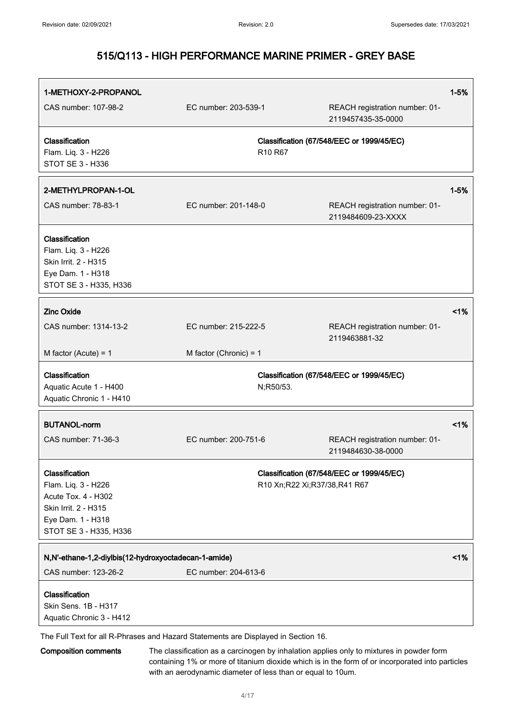| 1-METHOXY-2-PROPANOL                                                                                                                |                                                                                    |                                                      | $1 - 5%$ |
|-------------------------------------------------------------------------------------------------------------------------------------|------------------------------------------------------------------------------------|------------------------------------------------------|----------|
| CAS number: 107-98-2                                                                                                                | EC number: 203-539-1                                                               | REACH registration number: 01-<br>2119457435-35-0000 |          |
| Classification<br>Flam. Liq. 3 - H226<br><b>STOT SE 3 - H336</b>                                                                    | R <sub>10</sub> R <sub>67</sub>                                                    | Classification (67/548/EEC or 1999/45/EC)            |          |
| 2-METHYLPROPAN-1-OL                                                                                                                 |                                                                                    |                                                      | $1 - 5%$ |
| CAS number: 78-83-1                                                                                                                 | EC number: 201-148-0                                                               | REACH registration number: 01-<br>2119484609-23-XXXX |          |
| Classification<br>Flam. Liq. 3 - H226<br>Skin Irrit. 2 - H315<br>Eye Dam. 1 - H318<br>STOT SE 3 - H335, H336                        |                                                                                    |                                                      |          |
| <b>Zinc Oxide</b>                                                                                                                   |                                                                                    |                                                      | 1%       |
| CAS number: 1314-13-2                                                                                                               | EC number: 215-222-5                                                               | REACH registration number: 01-<br>2119463881-32      |          |
| M factor (Acute) = $1$                                                                                                              | M factor (Chronic) = $1$                                                           |                                                      |          |
| Classification<br>Aquatic Acute 1 - H400<br>Aquatic Chronic 1 - H410                                                                | N;R50/53.                                                                          | Classification (67/548/EEC or 1999/45/EC)            |          |
| <b>BUTANOL-norm</b>                                                                                                                 |                                                                                    |                                                      | 1%       |
| CAS number: 71-36-3                                                                                                                 | EC number: 200-751-6                                                               | REACH registration number: 01-<br>2119484630-38-0000 |          |
| Classification<br>Flam. Liq. 3 - H226<br>Acute Tox. 4 - H302<br>Skin Irrit. 2 - H315<br>Eye Dam. 1 - H318<br>STOT SE 3 - H335, H336 | R10 Xn;R22 Xi;R37/38,R41 R67                                                       | Classification (67/548/EEC or 1999/45/EC)            |          |
| N,N'-ethane-1,2-diylbis(12-hydroxyoctadecan-1-amide)<br>CAS number: 123-26-2                                                        | EC number: 204-613-6                                                               |                                                      | 1%       |
| Classification<br>Skin Sens. 1B - H317<br>Aquatic Chronic 3 - H412                                                                  | The Full Text for all R-Phrases and Hazard Statements are Displayed in Section 16. |                                                      |          |

Composition comments The classification as a carcinogen by inhalation applies only to mixtures in powder form containing 1% or more of titanium dioxide which is in the form of or incorporated into particles with an aerodynamic diameter of less than or equal to 10um.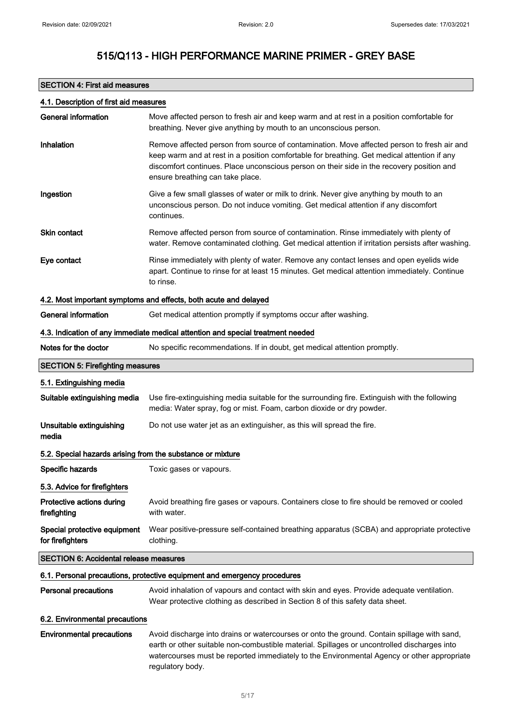### SECTION 4: First aid measures

### 4.1. Description of first aid measures

| <b>General information</b>                                 | Move affected person to fresh air and keep warm and at rest in a position comfortable for<br>breathing. Never give anything by mouth to an unconscious person.                                                                                                                                                             |
|------------------------------------------------------------|----------------------------------------------------------------------------------------------------------------------------------------------------------------------------------------------------------------------------------------------------------------------------------------------------------------------------|
| Inhalation                                                 | Remove affected person from source of contamination. Move affected person to fresh air and<br>keep warm and at rest in a position comfortable for breathing. Get medical attention if any<br>discomfort continues. Place unconscious person on their side in the recovery position and<br>ensure breathing can take place. |
| Ingestion                                                  | Give a few small glasses of water or milk to drink. Never give anything by mouth to an<br>unconscious person. Do not induce vomiting. Get medical attention if any discomfort<br>continues.                                                                                                                                |
| <b>Skin contact</b>                                        | Remove affected person from source of contamination. Rinse immediately with plenty of<br>water. Remove contaminated clothing. Get medical attention if irritation persists after washing.                                                                                                                                  |
| Eye contact                                                | Rinse immediately with plenty of water. Remove any contact lenses and open eyelids wide<br>apart. Continue to rinse for at least 15 minutes. Get medical attention immediately. Continue<br>to rinse.                                                                                                                      |
|                                                            | 4.2. Most important symptoms and effects, both acute and delayed                                                                                                                                                                                                                                                           |
| <b>General information</b>                                 | Get medical attention promptly if symptoms occur after washing.                                                                                                                                                                                                                                                            |
|                                                            | 4.3. Indication of any immediate medical attention and special treatment needed                                                                                                                                                                                                                                            |
| Notes for the doctor                                       | No specific recommendations. If in doubt, get medical attention promptly.                                                                                                                                                                                                                                                  |
| <b>SECTION 5: Firefighting measures</b>                    |                                                                                                                                                                                                                                                                                                                            |
| 5.1. Extinguishing media                                   |                                                                                                                                                                                                                                                                                                                            |
| Suitable extinguishing media                               | Use fire-extinguishing media suitable for the surrounding fire. Extinguish with the following<br>media: Water spray, fog or mist. Foam, carbon dioxide or dry powder.                                                                                                                                                      |
| Unsuitable extinguishing<br>media                          | Do not use water jet as an extinguisher, as this will spread the fire.                                                                                                                                                                                                                                                     |
| 5.2. Special hazards arising from the substance or mixture |                                                                                                                                                                                                                                                                                                                            |
| Specific hazards                                           | Toxic gases or vapours.                                                                                                                                                                                                                                                                                                    |
| 5.3. Advice for firefighters                               |                                                                                                                                                                                                                                                                                                                            |
| Protective actions during<br>firefighting                  | Avoid breathing fire gases or vapours. Containers close to fire should be removed or cooled<br>with water.                                                                                                                                                                                                                 |
| Special protective equipment<br>for firefighters           | Wear positive-pressure self-contained breathing apparatus (SCBA) and appropriate protective<br>clothing.                                                                                                                                                                                                                   |
| <b>SECTION 6: Accidental release measures</b>              |                                                                                                                                                                                                                                                                                                                            |
|                                                            | 6.1. Personal precautions, protective equipment and emergency procedures                                                                                                                                                                                                                                                   |
| <b>Personal precautions</b>                                | Avoid inhalation of vapours and contact with skin and eyes. Provide adequate ventilation.<br>Wear protective clothing as described in Section 8 of this safety data sheet.                                                                                                                                                 |
| 6.2. Environmental precautions                             |                                                                                                                                                                                                                                                                                                                            |
| <b>Environmental precautions</b>                           | Avoid discharge into drains or watercourses or onto the ground. Contain spillage with sand,<br>earth or other suitable non-combustible material. Spillages or uncontrolled discharges into<br>watercourses must be reported immediately to the Environmental Agency or other appropriate<br>regulatory body.               |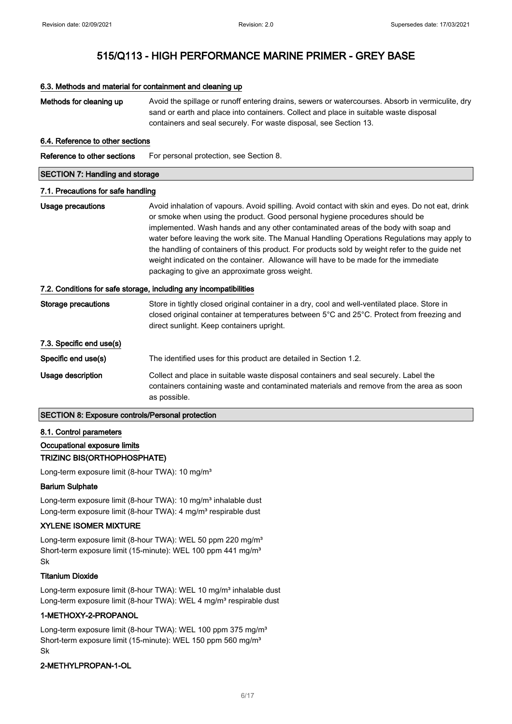# 6.3. Methods and material for containment and cleaning up Methods for cleaning up Avoid the spillage or runoff entering drains, sewers or watercourses. Absorb in vermiculite, dry sand or earth and place into containers. Collect and place in suitable waste disposal containers and seal securely. For waste disposal, see Section 13. 6.4. Reference to other sections Reference to other sections For personal protection, see Section 8. SECTION 7: Handling and storage 7.1. Precautions for safe handling Usage precautions **Avoid inhalation of vapours. Avoid spilling.** Avoid contact with skin and eyes. Do not eat, drink or smoke when using the product. Good personal hygiene procedures should be implemented. Wash hands and any other contaminated areas of the body with soap and water before leaving the work site. The Manual Handling Operations Regulations may apply to the handling of containers of this product. For products sold by weight refer to the guide net weight indicated on the container. Allowance will have to be made for the immediate packaging to give an approximate gross weight. 7.2. Conditions for safe storage, including any incompatibilities Storage precautions Store in tightly closed original container in a dry, cool and well-ventilated place. Store in closed original container at temperatures between 5°C and 25°C. Protect from freezing and direct sunlight. Keep containers upright. 7.3. Specific end use(s) Specific end use(s) The identified uses for this product are detailed in Section 1.2. Usage description Collect and place in suitable waste disposal containers and seal securely. Label the containers containing waste and contaminated materials and remove from the area as soon as possible. SECTION 8: Exposure controls/Personal protection

### 8.1. Control parameters

### Occupational exposure limits

#### TRIZINC BIS(ORTHOPHOSPHATE)

Long-term exposure limit (8-hour TWA): 10 mg/m<sup>3</sup>

#### Barium Sulphate

Long-term exposure limit (8-hour TWA): 10 mg/m<sup>3</sup> inhalable dust Long-term exposure limit (8-hour TWA): 4 mg/m<sup>3</sup> respirable dust

### XYLENE ISOMER MIXTURE

Long-term exposure limit (8-hour TWA): WEL 50 ppm 220 mg/m<sup>3</sup> Short-term exposure limit (15-minute): WEL 100 ppm 441 mg/m<sup>3</sup> Sk

#### Titanium Dioxide

Long-term exposure limit (8-hour TWA): WEL 10 mg/m<sup>3</sup> inhalable dust Long-term exposure limit (8-hour TWA): WEL 4 mg/m<sup>3</sup> respirable dust

#### 1-METHOXY-2-PROPANOL

Long-term exposure limit (8-hour TWA): WEL 100 ppm 375 mg/m<sup>3</sup> Short-term exposure limit (15-minute): WEL 150 ppm 560 mg/m<sup>3</sup> Sk

### 2-METHYLPROPAN-1-OL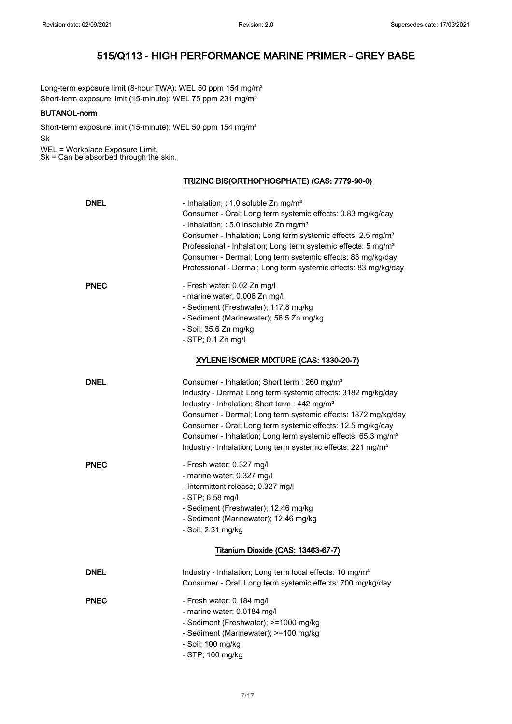Long-term exposure limit (8-hour TWA): WEL 50 ppm 154 mg/m<sup>3</sup> Short-term exposure limit (15-minute): WEL 75 ppm 231 mg/m<sup>3</sup>

### BUTANOL-norm

Short-term exposure limit (15-minute): WEL 50 ppm 154 mg/m<sup>3</sup> Sk

WEL = Workplace Exposure Limit. Sk = Can be absorbed through the skin.

TRIZINC BIS(ORTHOPHOSPHATE) (CAS: 7779-90-0)

| <b>DNEL</b> | - Inhalation; : 1.0 soluble Zn mg/m <sup>3</sup><br>Consumer - Oral; Long term systemic effects: 0.83 mg/kg/day<br>- Inhalation; : 5.0 insoluble Zn mg/m <sup>3</sup><br>Consumer - Inhalation; Long term systemic effects: 2.5 mg/m <sup>3</sup><br>Professional - Inhalation; Long term systemic effects: 5 mg/m <sup>3</sup><br>Consumer - Dermal; Long term systemic effects: 83 mg/kg/day<br>Professional - Dermal; Long term systemic effects: 83 mg/kg/day                |
|-------------|----------------------------------------------------------------------------------------------------------------------------------------------------------------------------------------------------------------------------------------------------------------------------------------------------------------------------------------------------------------------------------------------------------------------------------------------------------------------------------|
| <b>PNEC</b> | - Fresh water; 0.02 Zn mg/l<br>- marine water; 0.006 Zn mg/l<br>- Sediment (Freshwater); 117.8 mg/kg<br>- Sediment (Marinewater); 56.5 Zn mg/kg<br>- Soil; 35.6 Zn mg/kg<br>- STP; 0.1 Zn mg/l                                                                                                                                                                                                                                                                                   |
|             | XYLENE ISOMER MIXTURE (CAS: 1330-20-7)                                                                                                                                                                                                                                                                                                                                                                                                                                           |
| <b>DNEL</b> | Consumer - Inhalation; Short term : 260 mg/m <sup>3</sup><br>Industry - Dermal; Long term systemic effects: 3182 mg/kg/day<br>Industry - Inhalation; Short term : 442 mg/m <sup>3</sup><br>Consumer - Dermal; Long term systemic effects: 1872 mg/kg/day<br>Consumer - Oral; Long term systemic effects: 12.5 mg/kg/day<br>Consumer - Inhalation; Long term systemic effects: 65.3 mg/m <sup>3</sup><br>Industry - Inhalation; Long term systemic effects: 221 mg/m <sup>3</sup> |
| <b>PNEC</b> | - Fresh water; 0.327 mg/l<br>- marine water; 0.327 mg/l<br>- Intermittent release; 0.327 mg/l<br>- STP; 6.58 mg/l<br>- Sediment (Freshwater); 12.46 mg/kg<br>- Sediment (Marinewater); 12.46 mg/kg<br>- Soil; 2.31 mg/kg                                                                                                                                                                                                                                                         |
|             | Titanium Dioxide (CAS: 13463-67-7)                                                                                                                                                                                                                                                                                                                                                                                                                                               |
| <b>DNEL</b> | Industry - Inhalation; Long term local effects: 10 mg/m <sup>3</sup><br>Consumer - Oral; Long term systemic effects: 700 mg/kg/day                                                                                                                                                                                                                                                                                                                                               |
| <b>PNEC</b> | - Fresh water; 0.184 mg/l<br>- marine water; 0.0184 mg/l<br>- Sediment (Freshwater); >=1000 mg/kg<br>- Sediment (Marinewater); >=100 mg/kg<br>- Soil; 100 mg/kg<br>- STP; 100 mg/kg                                                                                                                                                                                                                                                                                              |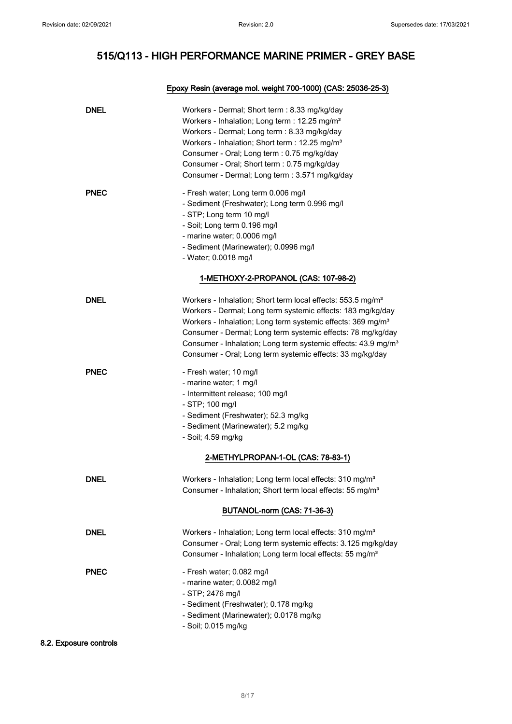### Epoxy Resin (average mol. weight 700-1000) (CAS: 25036-25-3)

| <b>DNEL</b> | Workers - Dermal; Short term : 8.33 mg/kg/day<br>Workers - Inhalation; Long term : 12.25 mg/m <sup>3</sup><br>Workers - Dermal; Long term : 8.33 mg/kg/day<br>Workers - Inhalation; Short term : 12.25 mg/m <sup>3</sup><br>Consumer - Oral; Long term : 0.75 mg/kg/day<br>Consumer - Oral; Short term : 0.75 mg/kg/day<br>Consumer - Dermal; Long term : 3.571 mg/kg/day                                                  |
|-------------|----------------------------------------------------------------------------------------------------------------------------------------------------------------------------------------------------------------------------------------------------------------------------------------------------------------------------------------------------------------------------------------------------------------------------|
| <b>PNEC</b> | - Fresh water; Long term 0.006 mg/l<br>- Sediment (Freshwater); Long term 0.996 mg/l<br>- STP; Long term 10 mg/l<br>- Soil; Long term 0.196 mg/l<br>- marine water; 0.0006 mg/l<br>- Sediment (Marinewater); 0.0996 mg/l<br>- Water; 0.0018 mg/l                                                                                                                                                                           |
|             | 1-METHOXY-2-PROPANOL (CAS: 107-98-2)                                                                                                                                                                                                                                                                                                                                                                                       |
| DNEL        | Workers - Inhalation; Short term local effects: 553.5 mg/m <sup>3</sup><br>Workers - Dermal; Long term systemic effects: 183 mg/kg/day<br>Workers - Inhalation; Long term systemic effects: 369 mg/m <sup>3</sup><br>Consumer - Dermal; Long term systemic effects: 78 mg/kg/day<br>Consumer - Inhalation; Long term systemic effects: 43.9 mg/m <sup>3</sup><br>Consumer - Oral; Long term systemic effects: 33 mg/kg/day |
| <b>PNEC</b> | - Fresh water; 10 mg/l<br>- marine water; 1 mg/l<br>- Intermittent release; 100 mg/l<br>- STP; 100 mg/l<br>- Sediment (Freshwater); 52.3 mg/kg<br>- Sediment (Marinewater); 5.2 mg/kg<br>- Soil; 4.59 mg/kg<br>2-METHYLPROPAN-1-OL (CAS: 78-83-1)                                                                                                                                                                          |
| <b>DNEL</b> | Workers - Inhalation; Long term local effects: 310 mg/m <sup>3</sup><br>Consumer - Inhalation; Short term local effects: 55 mg/m <sup>3</sup>                                                                                                                                                                                                                                                                              |
|             | BUTANOL-norm (CAS: 71-36-3)                                                                                                                                                                                                                                                                                                                                                                                                |
| <b>DNEL</b> | Workers - Inhalation; Long term local effects: 310 mg/m <sup>3</sup><br>Consumer - Oral; Long term systemic effects: 3.125 mg/kg/day<br>Consumer - Inhalation; Long term local effects: 55 mg/m <sup>3</sup>                                                                                                                                                                                                               |
| <b>PNEC</b> | - Fresh water; 0.082 mg/l<br>- marine water; 0.0082 mg/l<br>- STP; 2476 mg/l<br>- Sediment (Freshwater); 0.178 mg/kg<br>- Sediment (Marinewater); 0.0178 mg/kg<br>- Soil; 0.015 mg/kg                                                                                                                                                                                                                                      |

8.2. Exposure controls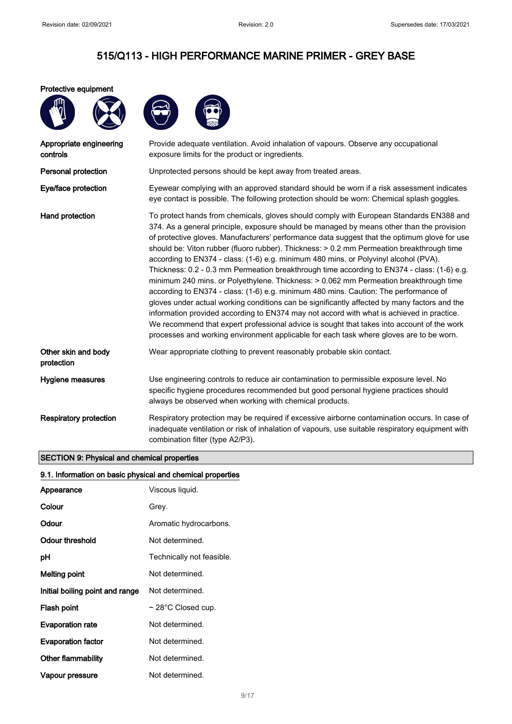#### Protective equipment



| Appropriate engineering<br>controls | Provide adequate ventilation. Avoid inhalation of vapours. Observe any occupational<br>exposure limits for the product or ingredients.                                                                                                                                                                                                                                                                                                                                                                                                                                                                                                                                                                                                                                                                                                                                                                                                                                                                                                                                                                                                          |
|-------------------------------------|-------------------------------------------------------------------------------------------------------------------------------------------------------------------------------------------------------------------------------------------------------------------------------------------------------------------------------------------------------------------------------------------------------------------------------------------------------------------------------------------------------------------------------------------------------------------------------------------------------------------------------------------------------------------------------------------------------------------------------------------------------------------------------------------------------------------------------------------------------------------------------------------------------------------------------------------------------------------------------------------------------------------------------------------------------------------------------------------------------------------------------------------------|
| Personal protection                 | Unprotected persons should be kept away from treated areas.                                                                                                                                                                                                                                                                                                                                                                                                                                                                                                                                                                                                                                                                                                                                                                                                                                                                                                                                                                                                                                                                                     |
| Eye/face protection                 | Eyewear complying with an approved standard should be worn if a risk assessment indicates<br>eye contact is possible. The following protection should be worn: Chemical splash goggles.                                                                                                                                                                                                                                                                                                                                                                                                                                                                                                                                                                                                                                                                                                                                                                                                                                                                                                                                                         |
| Hand protection                     | To protect hands from chemicals, gloves should comply with European Standards EN388 and<br>374. As a general principle, exposure should be managed by means other than the provision<br>of protective gloves. Manufacturers' performance data suggest that the optimum glove for use<br>should be: Viton rubber (fluoro rubber). Thickness: > 0.2 mm Permeation breakthrough time<br>according to EN374 - class: (1-6) e.g. minimum 480 mins. or Polyvinyl alcohol (PVA).<br>Thickness: 0.2 - 0.3 mm Permeation breakthrough time according to EN374 - class: (1-6) e.g.<br>minimum 240 mins. or Polyethylene. Thickness: > 0.062 mm Permeation breakthrough time<br>according to EN374 - class: (1-6) e.g. minimum 480 mins. Caution: The performance of<br>gloves under actual working conditions can be significantly affected by many factors and the<br>information provided according to EN374 may not accord with what is achieved in practice.<br>We recommend that expert professional advice is sought that takes into account of the work<br>processes and working environment applicable for each task where gloves are to be worn. |
| Other skin and body<br>protection   | Wear appropriate clothing to prevent reasonably probable skin contact.                                                                                                                                                                                                                                                                                                                                                                                                                                                                                                                                                                                                                                                                                                                                                                                                                                                                                                                                                                                                                                                                          |
| Hygiene measures                    | Use engineering controls to reduce air contamination to permissible exposure level. No<br>specific hygiene procedures recommended but good personal hygiene practices should<br>always be observed when working with chemical products.                                                                                                                                                                                                                                                                                                                                                                                                                                                                                                                                                                                                                                                                                                                                                                                                                                                                                                         |
| <b>Respiratory protection</b>       | Respiratory protection may be required if excessive airborne contamination occurs. In case of<br>inadequate ventilation or risk of inhalation of vapours, use suitable respiratory equipment with<br>combination filter (type A2/P3).                                                                                                                                                                                                                                                                                                                                                                                                                                                                                                                                                                                                                                                                                                                                                                                                                                                                                                           |

### SECTION 9: Physical and chemical properties

|  | 9.1. Information on basic physical and chemical properties |  |  |  |  |  |  |
|--|------------------------------------------------------------|--|--|--|--|--|--|
|--|------------------------------------------------------------|--|--|--|--|--|--|

| Appearance                      | Viscous liquid.           |
|---------------------------------|---------------------------|
| Colour                          | Grey.                     |
| Odour                           | Aromatic hydrocarbons.    |
| Odour threshold                 | Not determined.           |
| рH                              | Technically not feasible. |
| Melting point                   | Not determined.           |
| Initial boiling point and range | Not determined.           |
| Flash point                     | $\sim$ 28°C Closed cup.   |
| <b>Evaporation rate</b>         | Not determined.           |
| <b>Evaporation factor</b>       | Not determined.           |
| Other flammability              | Not determined.           |
| Vapour pressure                 | Not determined.           |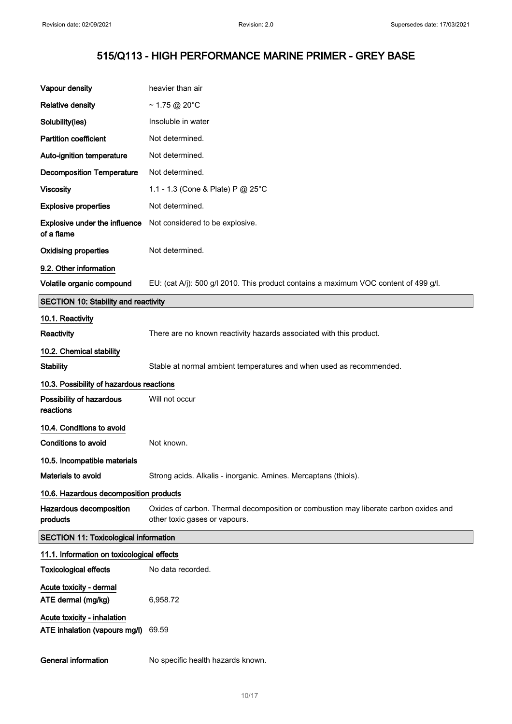| Vapour density                                               | heavier than air                                                                                                      |
|--------------------------------------------------------------|-----------------------------------------------------------------------------------------------------------------------|
| <b>Relative density</b>                                      | $\sim$ 1.75 @ 20°C                                                                                                    |
| Solubility(ies)                                              | Insoluble in water                                                                                                    |
| <b>Partition coefficient</b>                                 | Not determined.                                                                                                       |
| Auto-ignition temperature                                    | Not determined.                                                                                                       |
| <b>Decomposition Temperature</b>                             | Not determined.                                                                                                       |
| <b>Viscosity</b>                                             | 1.1 - 1.3 (Cone & Plate) P @ 25°C                                                                                     |
| <b>Explosive properties</b>                                  | Not determined.                                                                                                       |
| <b>Explosive under the influence</b><br>of a flame           | Not considered to be explosive.                                                                                       |
| <b>Oxidising properties</b>                                  | Not determined.                                                                                                       |
| 9.2. Other information                                       |                                                                                                                       |
| Volatile organic compound                                    | EU: (cat A/j): 500 g/l 2010. This product contains a maximum VOC content of 499 g/l.                                  |
| <b>SECTION 10: Stability and reactivity</b>                  |                                                                                                                       |
| 10.1. Reactivity                                             |                                                                                                                       |
| Reactivity                                                   | There are no known reactivity hazards associated with this product.                                                   |
| 10.2. Chemical stability                                     |                                                                                                                       |
| <b>Stability</b>                                             | Stable at normal ambient temperatures and when used as recommended.                                                   |
|                                                              |                                                                                                                       |
| 10.3. Possibility of hazardous reactions                     |                                                                                                                       |
| Possibility of hazardous<br>reactions                        | Will not occur                                                                                                        |
| 10.4. Conditions to avoid                                    |                                                                                                                       |
| Conditions to avoid                                          | Not known.                                                                                                            |
| 10.5. Incompatible materials                                 |                                                                                                                       |
| Materials to avoid                                           | Strong acids. Alkalis - inorganic. Amines. Mercaptans (thiols).                                                       |
| 10.6. Hazardous decomposition products                       |                                                                                                                       |
| Hazardous decomposition<br>products                          | Oxides of carbon. Thermal decomposition or combustion may liberate carbon oxides and<br>other toxic gases or vapours. |
| <b>SECTION 11: Toxicological information</b>                 |                                                                                                                       |
| 11.1. Information on toxicological effects                   |                                                                                                                       |
| <b>Toxicological effects</b>                                 | No data recorded.                                                                                                     |
| Acute toxicity - dermal                                      |                                                                                                                       |
| ATE dermal (mg/kg)                                           | 6,958.72                                                                                                              |
| Acute toxicity - inhalation<br>ATE inhalation (vapours mg/l) | 69.59                                                                                                                 |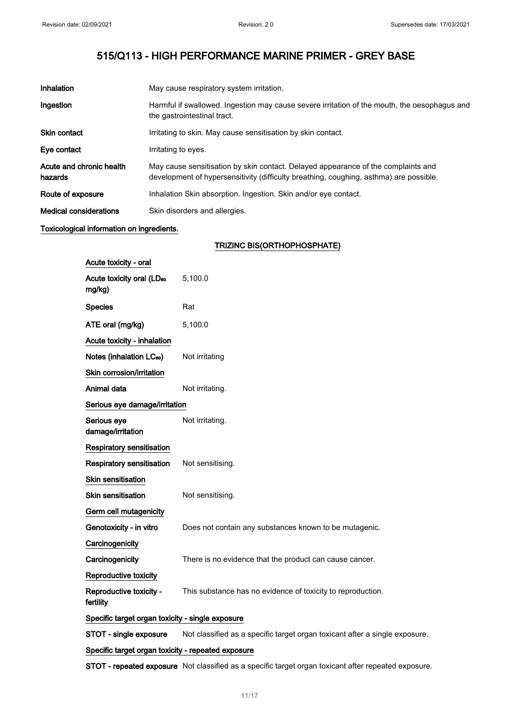| Inhalation                          | May cause respiratory system irritation.                                                                                                                                    |
|-------------------------------------|-----------------------------------------------------------------------------------------------------------------------------------------------------------------------------|
| Ingestion                           | Harmful if swallowed. Ingestion may cause severe irritation of the mouth, the oesophagus and<br>the gastrointestinal tract.                                                 |
| <b>Skin contact</b>                 | Irritating to skin. May cause sensitisation by skin contact.                                                                                                                |
| Eye contact                         | Irritating to eyes.                                                                                                                                                         |
| Acute and chronic health<br>hazards | May cause sensitisation by skin contact. Delayed appearance of the complaints and<br>development of hypersensitivity (difficulty breathing, coughing, asthma) are possible. |
| Route of exposure                   | Inhalation Skin absorption. Ingestion. Skin and/or eye contact.                                                                                                             |
| <b>Medical considerations</b>       | Skin disorders and allergies.                                                                                                                                               |

### Toxicological information on ingredients.

### TRIZINC BIS(ORTHOPHOSPHATE)

| Acute toxicity - oral                              |                                                                             |
|----------------------------------------------------|-----------------------------------------------------------------------------|
| Acute toxicity oral (LD <sub>50</sub><br>mg/kg)    | 5,100.0                                                                     |
| <b>Species</b>                                     | Rat                                                                         |
| ATE oral (mg/kg)                                   | 5,100.0                                                                     |
| Acute toxicity - inhalation                        |                                                                             |
| Notes (inhalation LC <sub>50</sub> )               | Not irritating                                                              |
| Skin corrosion/irritation                          |                                                                             |
| Animal data                                        | Not irritating.                                                             |
| Serious eye damage/irritation                      |                                                                             |
| Serious eye<br>damage/irritation                   | Not irritating.                                                             |
| <b>Respiratory sensitisation</b>                   |                                                                             |
| Respiratory sensitisation                          | Not sensitising.                                                            |
| <b>Skin sensitisation</b>                          |                                                                             |
| <b>Skin sensitisation</b>                          | Not sensitising.                                                            |
| Germ cell mutagenicity                             |                                                                             |
| Genotoxicity - in vitro                            | Does not contain any substances known to be mutagenic.                      |
| Carcinogenicity                                    |                                                                             |
| Carcinogenicity                                    | There is no evidence that the product can cause cancer.                     |
| Reproductive toxicity                              |                                                                             |
| Reproductive toxicity -<br>fertility               | This substance has no evidence of toxicity to reproduction.                 |
| Specific target organ toxicity - single exposure   |                                                                             |
| STOT - single exposure                             | Not classified as a specific target organ toxicant after a single exposure. |
| Specific target organ toxicity - repeated exposure |                                                                             |

STOT - repeated exposure Not classified as a specific target organ toxicant after repeated exposure.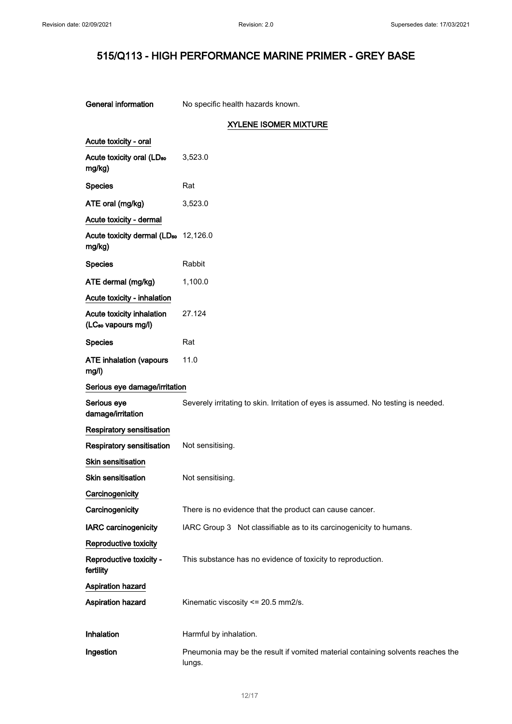$\hat{\mathcal{A}}$ 

| General information                                          | No specific health hazards known.                                                         |
|--------------------------------------------------------------|-------------------------------------------------------------------------------------------|
|                                                              | <b>XYLENE ISOMER MIXTURE</b>                                                              |
| Acute toxicity - oral                                        |                                                                                           |
| Acute toxicity oral (LD <sub>50</sub><br>mg/kg)              | 3,523.0                                                                                   |
| <b>Species</b>                                               | Rat                                                                                       |
| ATE oral (mg/kg)                                             | 3,523.0                                                                                   |
| Acute toxicity - dermal                                      |                                                                                           |
| Acute toxicity dermal (LD <sub>50</sub> 12,126.0<br>mg/kg)   |                                                                                           |
| <b>Species</b>                                               | Rabbit                                                                                    |
| ATE dermal (mg/kg)                                           | 1,100.0                                                                                   |
| Acute toxicity - inhalation                                  |                                                                                           |
| Acute toxicity inhalation<br>(LC <sub>50</sub> vapours mg/l) | 27.124                                                                                    |
| <b>Species</b>                                               | Rat                                                                                       |
| <b>ATE inhalation (vapours</b><br>mg/l)                      | 11.0                                                                                      |
| Serious eye damage/irritation                                |                                                                                           |
| Serious eye<br>damage/irritation                             | Severely irritating to skin. Irritation of eyes is assumed. No testing is needed.         |
| <b>Respiratory sensitisation</b>                             |                                                                                           |
| Respiratory sensitisation                                    | Not sensitising.                                                                          |
| <b>Skin sensitisation</b>                                    |                                                                                           |
| <b>Skin sensitisation</b>                                    | Not sensitising.                                                                          |
| Carcinogenicity                                              |                                                                                           |
| Carcinogenicity                                              | There is no evidence that the product can cause cancer.                                   |
| <b>IARC</b> carcinogenicity                                  | IARC Group 3 Not classifiable as to its carcinogenicity to humans.                        |
| Reproductive toxicity                                        |                                                                                           |
| Reproductive toxicity -<br>fertility                         | This substance has no evidence of toxicity to reproduction.                               |
| <b>Aspiration hazard</b>                                     |                                                                                           |
| <b>Aspiration hazard</b>                                     | Kinematic viscosity <= 20.5 mm2/s.                                                        |
| Inhalation                                                   | Harmful by inhalation.                                                                    |
| Ingestion                                                    | Pneumonia may be the result if vomited material containing solvents reaches the<br>lungs. |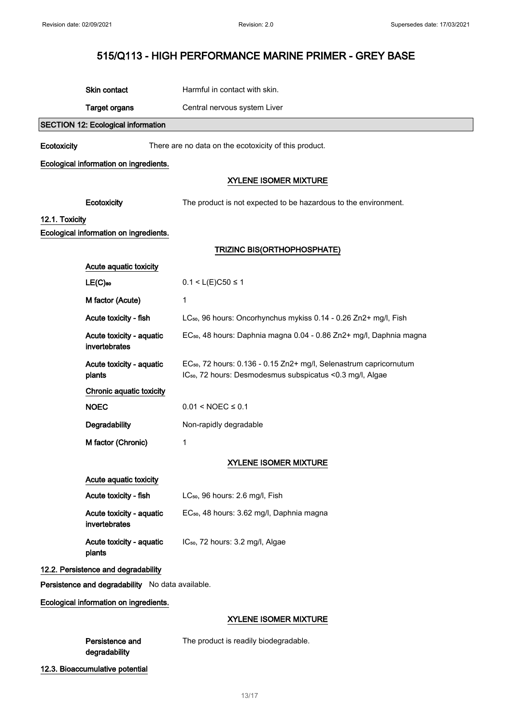|                | Skin contact                                     | Harmful in contact with skin.                                                                                                                            |
|----------------|--------------------------------------------------|----------------------------------------------------------------------------------------------------------------------------------------------------------|
|                | <b>Target organs</b>                             | Central nervous system Liver                                                                                                                             |
|                | <b>SECTION 12: Ecological information</b>        |                                                                                                                                                          |
| Ecotoxicity    |                                                  | There are no data on the ecotoxicity of this product.                                                                                                    |
|                | Ecological information on ingredients.           |                                                                                                                                                          |
|                |                                                  | <b>XYLENE ISOMER MIXTURE</b>                                                                                                                             |
|                | Ecotoxicity                                      | The product is not expected to be hazardous to the environment.                                                                                          |
| 12.1. Toxicity |                                                  |                                                                                                                                                          |
|                | Ecological information on ingredients.           |                                                                                                                                                          |
|                |                                                  | TRIZINC BIS(ORTHOPHOSPHATE)                                                                                                                              |
|                | Acute aquatic toxicity                           |                                                                                                                                                          |
|                | $LE(C)$ <sub>50</sub>                            | $0.1 < L(E)C50 \le 1$                                                                                                                                    |
|                | M factor (Acute)                                 | 1                                                                                                                                                        |
|                | Acute toxicity - fish                            | LC <sub>50</sub> , 96 hours: Oncorhynchus mykiss 0.14 - 0.26 Zn2+ mg/l, Fish                                                                             |
|                | Acute toxicity - aquatic<br>invertebrates        | EC <sub>50</sub> , 48 hours: Daphnia magna 0.04 - 0.86 Zn2+ mg/l, Daphnia magna                                                                          |
|                | Acute toxicity - aquatic<br>plants               | EC <sub>50</sub> , 72 hours: 0.136 - 0.15 Zn2+ mg/l, Selenastrum capricornutum<br>IC <sub>50</sub> , 72 hours: Desmodesmus subspicatus < 0.3 mg/l, Algae |
|                | Chronic aquatic toxicity                         |                                                                                                                                                          |
|                | <b>NOEC</b>                                      | $0.01 < \text{NOEC} \leq 0.1$                                                                                                                            |
|                | Degradability                                    | Non-rapidly degradable                                                                                                                                   |
|                | M factor (Chronic)                               | 1                                                                                                                                                        |
|                | <b>XYLENE ISOMER MIXTURE</b>                     |                                                                                                                                                          |
|                | Acute aquatic toxicity                           |                                                                                                                                                          |
|                | Acute toxicity - fish                            | LC <sub>50</sub> , 96 hours: 2.6 mg/l, Fish                                                                                                              |
|                | Acute toxicity - aquatic<br>invertebrates        | EC <sub>50</sub> , 48 hours: 3.62 mg/l, Daphnia magna                                                                                                    |
|                | Acute toxicity - aquatic<br>plants               | IC <sub>50</sub> , 72 hours: 3.2 mg/l, Algae                                                                                                             |
|                | 12.2. Persistence and degradability              |                                                                                                                                                          |
|                | Persistence and degradability No data available. |                                                                                                                                                          |
|                | Ecological information on ingredients.           |                                                                                                                                                          |
|                |                                                  | <b>XYLENE ISOMER MIXTURE</b>                                                                                                                             |
|                | Persistence and<br>degradability                 | The product is readily biodegradable.                                                                                                                    |
|                | 12.3. Bioaccumulative potential                  |                                                                                                                                                          |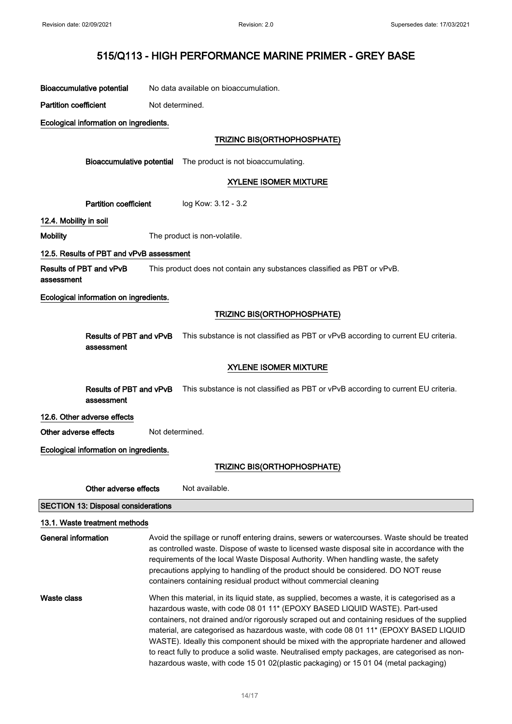Bioaccumulative potential No data available on bioaccumulation.

Partition coefficient Not determined.

Ecological information on ingredients.

### TRIZINC BIS(ORTHOPHOSPHATE)

Bioaccumulative potential The product is not bioaccumulating.

### XYLENE ISOMER MIXTURE

Partition coefficient log Kow: 3.12 - 3.2

12.4. Mobility in soil

Mobility The product is non-volatile.

#### 12.5. Results of PBT and vPvB assessment

Results of PBT and vPvB assessment This product does not contain any substances classified as PBT or vPvB.

#### Ecological information on ingredients.

### TRIZINC BIS(ORTHOPHOSPHATE)

|            | <b>Results of PBT and vPvB</b> This substance is not classified as PBT or vPvB according to current EU criteria. |
|------------|------------------------------------------------------------------------------------------------------------------|
| assessment |                                                                                                                  |

### XYLENE ISOMER MIXTURE

Results of PBT and vPvB This substance is not classified as PBT or vPvB according to current EU criteria. assessment

#### 12.6. Other adverse effects

Other adverse effects Not determined.

### Ecological information on ingredients.

### TRIZINC BIS(ORTHOPHOSPHATE)

Other adverse effects Not available.

SECTION 13: Disposal considerations

### 13.1. Waste treatment methods General information **Avoid the spillage or runoff entering drains**, sewers or watercourses. Waste should be treated as controlled waste. Dispose of waste to licensed waste disposal site in accordance with the requirements of the local Waste Disposal Authority. When handling waste, the safety precautions applying to handling of the product should be considered. DO NOT reuse containers containing residual product without commercial cleaning Waste class When this material, in its liquid state, as supplied, becomes a waste, it is categorised as a hazardous waste, with code 08 01 11\* (EPOXY BASED LIQUID WASTE). Part-used containers, not drained and/or rigorously scraped out and containing residues of the supplied material, are categorised as hazardous waste, with code 08 01 11\* (EPOXY BASED LIQUID WASTE). Ideally this component should be mixed with the appropriate hardener and allowed to react fully to produce a solid waste. Neutralised empty packages, are categorised as nonhazardous waste, with code 15 01 02(plastic packaging) or 15 01 04 (metal packaging)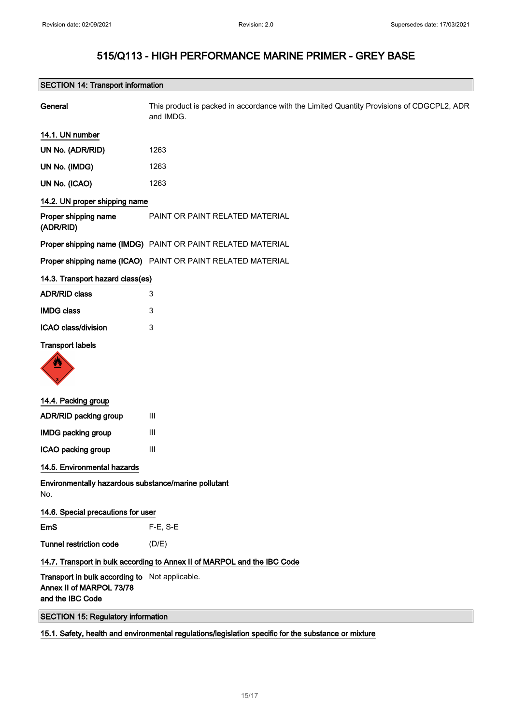| General                                                                                        | This product is packed in accordance with the Limited Quantity Provisions of CDGCPL2, ADR<br>and IMDG. |
|------------------------------------------------------------------------------------------------|--------------------------------------------------------------------------------------------------------|
| 14.1. UN number                                                                                |                                                                                                        |
| UN No. (ADR/RID)                                                                               | 1263                                                                                                   |
| UN No. (IMDG)                                                                                  | 1263                                                                                                   |
| UN No. (ICAO)                                                                                  | 1263                                                                                                   |
| 14.2. UN proper shipping name                                                                  |                                                                                                        |
| Proper shipping name<br>(ADR/RID)                                                              | PAINT OR PAINT RELATED MATERIAL                                                                        |
|                                                                                                | Proper shipping name (IMDG) PAINT OR PAINT RELATED MATERIAL                                            |
|                                                                                                | Proper shipping name (ICAO) PAINT OR PAINT RELATED MATERIAL                                            |
| 14.3. Transport hazard class(es)                                                               |                                                                                                        |
| <b>ADR/RID class</b>                                                                           | 3                                                                                                      |
| <b>IMDG class</b>                                                                              | 3                                                                                                      |
| ICAO class/division                                                                            | 3                                                                                                      |
| <b>Transport labels</b>                                                                        |                                                                                                        |
| 14.4. Packing group                                                                            |                                                                                                        |
| <b>ADR/RID packing group</b>                                                                   | Ш                                                                                                      |
| <b>IMDG packing group</b>                                                                      | Ш                                                                                                      |
| ICAO packing group                                                                             | $\mathbf{III}$                                                                                         |
| 14.5. Environmental hazards                                                                    |                                                                                                        |
| Environmentally hazardous substance/marine pollutant<br>No.                                    |                                                                                                        |
| 14.6. Special precautions for user                                                             |                                                                                                        |
| EmS                                                                                            | $F-E$ , S-E                                                                                            |
| <b>Tunnel restriction code</b>                                                                 | (D/E)                                                                                                  |
| 14.7. Transport in bulk according to Annex II of MARPOL and the IBC Code                       |                                                                                                        |
| Transport in bulk according to Not applicable.<br>Annex II of MARPOL 73/78<br>and the IBC Code |                                                                                                        |
| <b>SECTION 15: Regulatory information</b>                                                      |                                                                                                        |

### 15.1. Safety, health and environmental regulations/legislation specific for the substance or mixture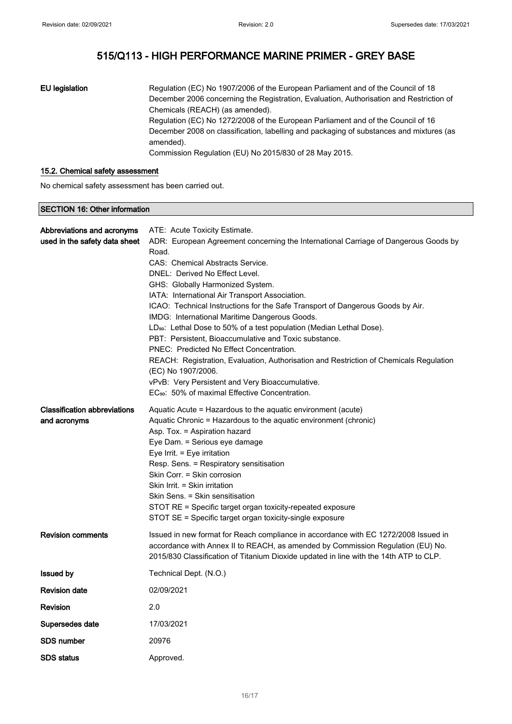### EU legislation Regulation (EC) No 1907/2006 of the European Parliament and of the Council of 18 December 2006 concerning the Registration, Evaluation, Authorisation and Restriction of Chemicals (REACH) (as amended). Regulation (EC) No 1272/2008 of the European Parliament and of the Council of 16 December 2008 on classification, labelling and packaging of substances and mixtures (as amended). Commission Regulation (EU) No 2015/830 of 28 May 2015.

### 15.2. Chemical safety assessment

No chemical safety assessment has been carried out.

#### SECTION 16: Other information

| Abbreviations and acronyms          | ATE: Acute Toxicity Estimate.                                                                                                                                            |
|-------------------------------------|--------------------------------------------------------------------------------------------------------------------------------------------------------------------------|
| used in the safety data sheet       | ADR: European Agreement concerning the International Carriage of Dangerous Goods by                                                                                      |
|                                     | Road.                                                                                                                                                                    |
|                                     | CAS: Chemical Abstracts Service.                                                                                                                                         |
|                                     | DNEL: Derived No Effect Level.                                                                                                                                           |
|                                     | GHS: Globally Harmonized System.                                                                                                                                         |
|                                     | IATA: International Air Transport Association.                                                                                                                           |
|                                     | ICAO: Technical Instructions for the Safe Transport of Dangerous Goods by Air.                                                                                           |
|                                     | IMDG: International Maritime Dangerous Goods.                                                                                                                            |
|                                     | LD <sub>50</sub> : Lethal Dose to 50% of a test population (Median Lethal Dose).                                                                                         |
|                                     | PBT: Persistent, Bioaccumulative and Toxic substance.                                                                                                                    |
|                                     | PNEC: Predicted No Effect Concentration.<br>REACH: Registration, Evaluation, Authorisation and Restriction of Chemicals Regulation                                       |
|                                     | (EC) No 1907/2006.                                                                                                                                                       |
|                                     | vPvB: Very Persistent and Very Bioaccumulative.                                                                                                                          |
|                                     | EC <sub>50</sub> : 50% of maximal Effective Concentration.                                                                                                               |
|                                     |                                                                                                                                                                          |
| <b>Classification abbreviations</b> | Aquatic Acute = Hazardous to the aquatic environment (acute)                                                                                                             |
| and acronyms                        | Aquatic Chronic = Hazardous to the aquatic environment (chronic)                                                                                                         |
|                                     | Asp. Tox. = Aspiration hazard                                                                                                                                            |
|                                     | Eye Dam. = Serious eye damage<br>Eye Irrit. = Eye irritation                                                                                                             |
|                                     | Resp. Sens. = Respiratory sensitisation                                                                                                                                  |
|                                     | Skin Corr. = Skin corrosion                                                                                                                                              |
|                                     | Skin Irrit. = Skin irritation                                                                                                                                            |
|                                     | Skin Sens. = Skin sensitisation                                                                                                                                          |
|                                     | STOT RE = Specific target organ toxicity-repeated exposure                                                                                                               |
|                                     | STOT SE = Specific target organ toxicity-single exposure                                                                                                                 |
|                                     |                                                                                                                                                                          |
| <b>Revision comments</b>            | Issued in new format for Reach compliance in accordance with EC 1272/2008 Issued in                                                                                      |
|                                     | accordance with Annex II to REACH, as amended by Commission Regulation (EU) No.<br>2015/830 Classification of Titanium Dioxide updated in line with the 14th ATP to CLP. |
|                                     |                                                                                                                                                                          |
| <b>Issued by</b>                    | Technical Dept. (N.O.)                                                                                                                                                   |
| <b>Revision date</b>                | 02/09/2021                                                                                                                                                               |
| <b>Revision</b>                     | 2.0                                                                                                                                                                      |
| Supersedes date                     | 17/03/2021                                                                                                                                                               |
| SDS number                          | 20976                                                                                                                                                                    |
| <b>SDS status</b>                   | Approved.                                                                                                                                                                |